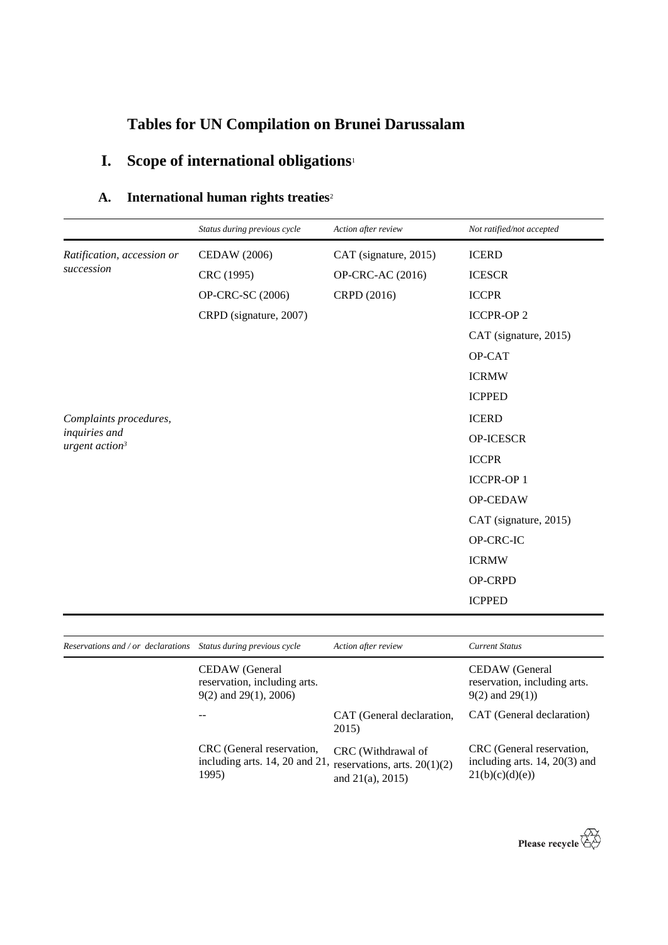# **Tables for UN Compilation on Brunei Darussalam**

# **I. Scope of international obligations**<sup>1</sup>

### **A. International human rights treaties**<sup>2</sup>

|                                             | Status during previous cycle | Action after review   | Not ratified/not accepted |
|---------------------------------------------|------------------------------|-----------------------|---------------------------|
| Ratification, accession or                  | <b>CEDAW</b> (2006)          | CAT (signature, 2015) | <b>ICERD</b>              |
| succession                                  | CRC (1995)                   | OP-CRC-AC (2016)      | <b>ICESCR</b>             |
|                                             | OP-CRC-SC (2006)             | CRPD (2016)           | <b>ICCPR</b>              |
|                                             | CRPD (signature, 2007)       |                       | <b>ICCPR-OP2</b>          |
|                                             |                              |                       | CAT (signature, 2015)     |
|                                             |                              |                       | OP-CAT                    |
|                                             |                              |                       | <b>ICRMW</b>              |
|                                             |                              |                       | <b>ICPPED</b>             |
| Complaints procedures,                      |                              |                       | <b>ICERD</b>              |
| inquiries and<br>urgent action <sup>3</sup> |                              |                       | OP-ICESCR                 |
|                                             |                              |                       | <b>ICCPR</b>              |
|                                             |                              |                       | <b>ICCPR-OP1</b>          |
|                                             |                              |                       | OP-CEDAW                  |
|                                             |                              |                       | CAT (signature, 2015)     |
|                                             |                              |                       | OP-CRC-IC                 |
|                                             |                              |                       | <b>ICRMW</b>              |
|                                             |                              |                       | OP-CRPD                   |
|                                             |                              |                       | <b>ICPPED</b>             |

| Reservations and / or declarations | Status during previous cycle                                                    | Action after review                                                            | <b>Current Status</b>                                                         |
|------------------------------------|---------------------------------------------------------------------------------|--------------------------------------------------------------------------------|-------------------------------------------------------------------------------|
|                                    | CEDAW (General<br>reservation, including arts.<br>$9(2)$ and $29(1)$ , $2006$ ) |                                                                                | CEDAW (General<br>reservation, including arts.<br>$9(2)$ and $29(1)$ )        |
|                                    |                                                                                 | CAT (General declaration,<br>2015)                                             | CAT (General declaration)                                                     |
|                                    | CRC (General reservation,<br>including arts. 14, 20 and 21,<br>1995)            | CRC (Withdrawal of<br>reservations, arts. $20(1)(2)$<br>and $21(a)$ , $2015$ ) | CRC (General reservation,<br>including arts. 14, 20(3) and<br>21(b)(c)(d)(e)) |

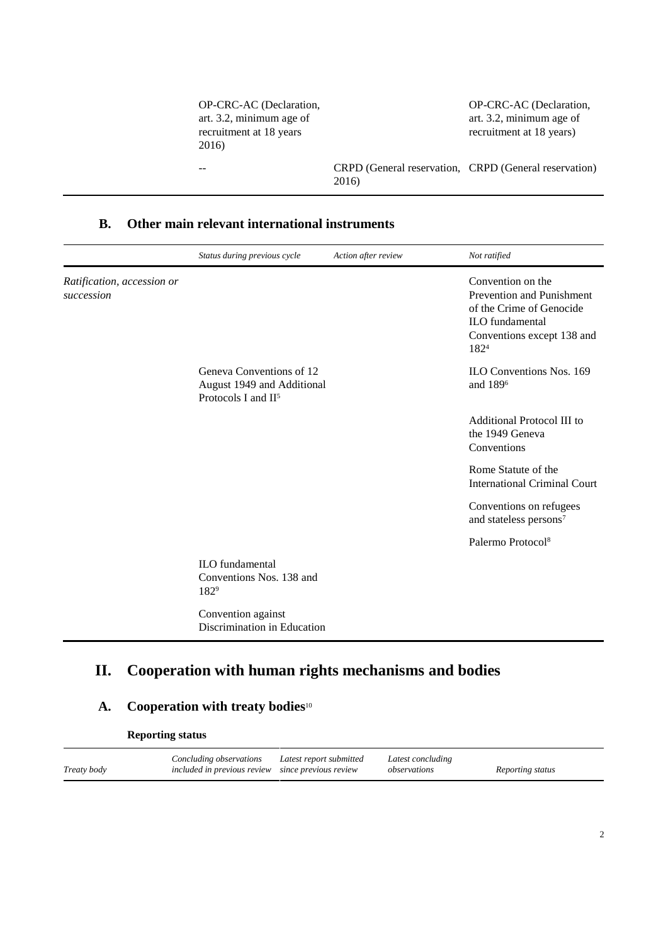| OP-CRC-AC (Declaration,<br>art. 3.2, minimum age of<br>recruitment at 18 years<br>2016) |       | OP-CRC-AC (Declaration,<br>art. 3.2, minimum age of<br>recruitment at 18 years) |
|-----------------------------------------------------------------------------------------|-------|---------------------------------------------------------------------------------|
|                                                                                         | 2016) | CRPD (General reservation, CRPD (General reservation)                           |

#### **B. Other main relevant international instruments**

|                                          | Status during previous cycle                                                              | Action after review | Not ratified                                                                                                                               |
|------------------------------------------|-------------------------------------------------------------------------------------------|---------------------|--------------------------------------------------------------------------------------------------------------------------------------------|
| Ratification, accession or<br>succession |                                                                                           |                     | Convention on the<br>Prevention and Punishment<br>of the Crime of Genocide<br><b>ILO</b> fundamental<br>Conventions except 138 and<br>1824 |
|                                          | Geneva Conventions of 12<br>August 1949 and Additional<br>Protocols I and II <sup>5</sup> |                     | <b>ILO Conventions Nos. 169</b><br>and 189 <sup>6</sup>                                                                                    |
|                                          |                                                                                           |                     | Additional Protocol III to<br>the 1949 Geneva<br>Conventions                                                                               |
|                                          |                                                                                           |                     | Rome Statute of the<br><b>International Criminal Court</b>                                                                                 |
|                                          |                                                                                           |                     | Conventions on refugees<br>and stateless persons <sup>7</sup>                                                                              |
|                                          |                                                                                           |                     | Palermo Protocol <sup>8</sup>                                                                                                              |
|                                          | <b>ILO</b> fundamental<br>Conventions Nos. 138 and<br>1829                                |                     |                                                                                                                                            |
|                                          | Convention against<br>Discrimination in Education                                         |                     |                                                                                                                                            |

## **II. Cooperation with human rights mechanisms and bodies**

### **A. Cooperation with treaty bodies**<sup>10</sup>

**Reporting status**

|             | Concluding observations Latest report submitted   | Latest concluding |                  |
|-------------|---------------------------------------------------|-------------------|------------------|
| Treaty body | included in previous review since previous review | observations      | Reporting status |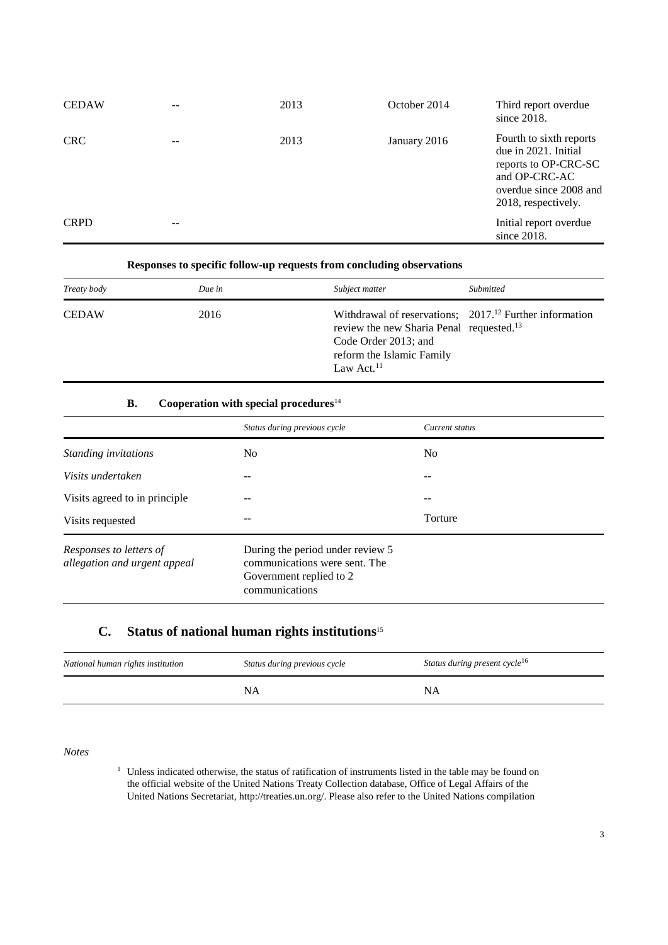| <b>CEDAW</b> |    | 2013 | October 2014 | Third report overdue<br>since $2018$ .                                                                                                    |
|--------------|----|------|--------------|-------------------------------------------------------------------------------------------------------------------------------------------|
| <b>CRC</b>   |    | 2013 | January 2016 | Fourth to sixth reports<br>due in 2021. Initial<br>reports to OP-CRC-SC<br>and OP-CRC-AC<br>overdue since 2008 and<br>2018, respectively. |
| <b>CRPD</b>  | -- |      |              | Initial report overdue<br>since 2018.                                                                                                     |

#### **Responses to specific follow-up requests from concluding observations**

| Treaty body  | Due in | Subject matter                                                                                                                                                                         | Submitted |
|--------------|--------|----------------------------------------------------------------------------------------------------------------------------------------------------------------------------------------|-----------|
| <b>CEDAW</b> | 2016   | Withdrawal of reservations; $201712$ Further information<br>review the new Sharia Penal requested. <sup>13</sup><br>Code Order 2013; and<br>reform the Islamic Family<br>Law Act. $11$ |           |

#### **B. Cooperation with special procedures**<sup>14</sup>

|                                                         | Status during previous cycle                                                                                   | Current status |
|---------------------------------------------------------|----------------------------------------------------------------------------------------------------------------|----------------|
| Standing invitations                                    | N <sub>0</sub>                                                                                                 | N <sub>0</sub> |
| Visits undertaken                                       |                                                                                                                | --             |
| Visits agreed to in principle                           |                                                                                                                |                |
| Visits requested                                        |                                                                                                                | Torture        |
| Responses to letters of<br>allegation and urgent appeal | During the period under review 5<br>communications were sent. The<br>Government replied to 2<br>communications |                |

#### **C. Status of national human rights institutions**<sup>15</sup>

| National human rights institution | Status during previous cycle | Status during present cycle <sup>16</sup> |
|-----------------------------------|------------------------------|-------------------------------------------|
|                                   | NA                           | <b>NA</b>                                 |

*Notes*

<sup>1</sup> Unless indicated otherwise, the status of ratification of instruments listed in the table may be found on the official website of the United Nations Treaty Collection database, Office of Legal Affairs of the United Nations Secretariat, http://treaties.un.org/. Please also refer to the United Nations compilation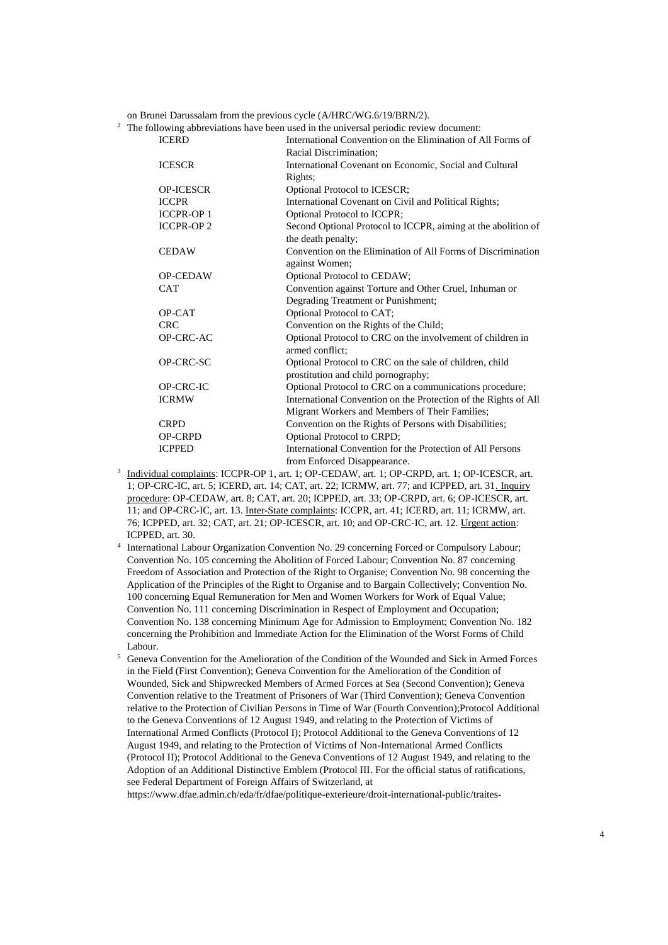on Brunei Darussalam from the previous cycle (A/HRC/WG.6/19/BRN/2).<br><sup>2</sup> The following abbreviations have been used in the universal periodic review

|                   | The following abbreviations have been used in the universal periodic review document: |
|-------------------|---------------------------------------------------------------------------------------|
| <b>ICERD</b>      | International Convention on the Elimination of All Forms of                           |
|                   | Racial Discrimination;                                                                |
| <b>ICESCR</b>     | International Covenant on Economic, Social and Cultural                               |
|                   | Rights;                                                                               |
| <b>OP-ICESCR</b>  | Optional Protocol to ICESCR;                                                          |
| <b>ICCPR</b>      | International Covenant on Civil and Political Rights;                                 |
| <b>ICCPR-OP1</b>  | Optional Protocol to ICCPR;                                                           |
| <b>ICCPR-OP 2</b> | Second Optional Protocol to ICCPR, aiming at the abolition of                         |
|                   | the death penalty;                                                                    |
| <b>CEDAW</b>      | Convention on the Elimination of All Forms of Discrimination                          |
|                   | against Women;                                                                        |
| <b>OP-CEDAW</b>   | Optional Protocol to CEDAW;                                                           |
| <b>CAT</b>        | Convention against Torture and Other Cruel, Inhuman or                                |
|                   | Degrading Treatment or Punishment;                                                    |
| OP-CAT            | Optional Protocol to CAT;                                                             |
| <b>CRC</b>        | Convention on the Rights of the Child;                                                |
| OP-CRC-AC         | Optional Protocol to CRC on the involvement of children in                            |
|                   | armed conflict:                                                                       |
| OP-CRC-SC         | Optional Protocol to CRC on the sale of children, child                               |
|                   | prostitution and child pornography;                                                   |
| OP-CRC-IC         | Optional Protocol to CRC on a communications procedure;                               |
| <b>ICRMW</b>      | International Convention on the Protection of the Rights of All                       |
|                   | Migrant Workers and Members of Their Families;                                        |
| <b>CRPD</b>       | Convention on the Rights of Persons with Disabilities;                                |
| <b>OP-CRPD</b>    | Optional Protocol to CRPD;                                                            |
| <b>ICPPED</b>     | International Convention for the Protection of All Persons                            |
|                   | from Enforced Disappearance.                                                          |

- <sup>3</sup> Individual complaints: ICCPR-OP 1, art. 1; OP-CEDAW, art. 1; OP-CRPD, art. 1; OP-ICESCR, art. 1; OP-CRC-IC, art. 5; ICERD, art. 14; CAT, art. 22; ICRMW, art. 77; and ICPPED, art. 31. Inquiry procedure: OP-CEDAW, art. 8; CAT, art. 20; ICPPED, art. 33; OP-CRPD, art. 6; OP-ICESCR, art. 11; and OP-CRC-IC, art. 13. Inter-State complaints: ICCPR, art. 41; ICERD, art. 11; ICRMW, art. 76; ICPPED, art. 32; CAT, art. 21; OP-ICESCR, art. 10; and OP-CRC-IC, art. 12. Urgent action: ICPPED, art. 30.
- 4 International Labour Organization Convention No. 29 concerning Forced or Compulsory Labour; Convention No. 105 concerning the Abolition of Forced Labour; Convention No. 87 concerning Freedom of Association and Protection of the Right to Organise; Convention No. 98 concerning the Application of the Principles of the Right to Organise and to Bargain Collectively; Convention No. 100 concerning Equal Remuneration for Men and Women Workers for Work of Equal Value; Convention No. 111 concerning Discrimination in Respect of Employment and Occupation; Convention No. 138 concerning Minimum Age for Admission to Employment; Convention No. 182 concerning the Prohibition and Immediate Action for the Elimination of the Worst Forms of Child Labour.
- <sup>5</sup> Geneva Convention for the Amelioration of the Condition of the Wounded and Sick in Armed Forces in the Field (First Convention); Geneva Convention for the Amelioration of the Condition of Wounded, Sick and Shipwrecked Members of Armed Forces at Sea (Second Convention); Geneva Convention relative to the Treatment of Prisoners of War (Third Convention); Geneva Convention relative to the Protection of Civilian Persons in Time of War (Fourth Convention);Protocol Additional to the Geneva Conventions of 12 August 1949, and relating to the Protection of Victims of International Armed Conflicts (Protocol I); Protocol Additional to the Geneva Conventions of 12 August 1949, and relating to the Protection of Victims of Non-International Armed Conflicts (Protocol II); Protocol Additional to the Geneva Conventions of 12 August 1949, and relating to the Adoption of an Additional Distinctive Emblem (Protocol III. For the official status of ratifications, see Federal Department of Foreign Affairs of Switzerland, at

https://www.dfae.admin.ch/eda/fr/dfae/politique-exterieure/droit-international-public/traites-